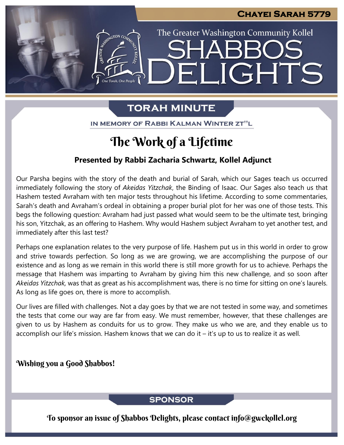The Greater Washington Community Kollel

ELIGHTS

## **TORAH MINUTE**

IN MEMORY OF RABBI KALMAN WINTER ZT"L

## The Work of a Lifetime

### **Presented by Rabbi Zacharia Schwartz, Kollel Adjunct**

Our Parsha begins with the story of the death and burial of Sarah, which our Sages teach us occurred immediately following the story of *Akeidas Yitzchak*, the Binding of Isaac. Our Sages also teach us that Hashem tested Avraham with ten major tests throughout his lifetime. According to some commentaries, Sarah's death and Avraham's ordeal in obtaining a proper burial plot for her was one of those tests. This begs the following question: Avraham had just passed what would seem to be the ultimate test, bringing his son, Yitzchak, as an offering to Hashem. Why would Hashem subject Avraham to yet another test, and immediately after this last test?

Perhaps one explanation relates to the very purpose of life. Hashem put us in this world in order to grow and strive towards perfection. So long as we are growing, we are accomplishing the purpose of our existence and as long as we remain in this world there is still more growth for us to achieve. Perhaps the message that Hashem was imparting to Avraham by giving him this new challenge, and so soon after *Akeidas Yitzchak,* was that as great as his accomplishment was, there is no time for sitting on one's laurels. As long as life goes on, there is more to accomplish.

Our lives are filled with challenges. Not a day goes by that we are not tested in some way, and sometimes the tests that come our way are far from easy. We must remember, however, that these challenges are given to us by Hashem as conduits for us to grow. They make us who we are, and they enable us to accomplish our life's mission. Hashem knows that we can do it – it's up to us to realize it as well.

## Wishing you a Good Shabbos!

#### **SPONSOR**

To sponsor an issue of Shabbos Delights, please contact info@gwckollel.org